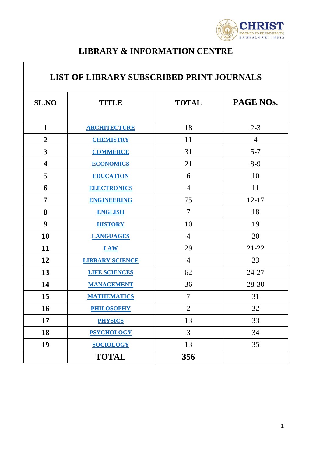

## **LIBRARY & INFORMATION CENTRE**

| <b>LIST OF LIBRARY SUBSCRIBED PRINT JOURNALS</b> |                        |                |                |  |
|--------------------------------------------------|------------------------|----------------|----------------|--|
| <b>SL.NO</b>                                     | <b>TITLE</b>           | <b>TOTAL</b>   | PAGE NOs.      |  |
| $\mathbf{1}$                                     | <b>ARCHITECTURE</b>    | 18             | $2 - 3$        |  |
| $\overline{2}$                                   | <b>CHEMISTRY</b>       | 11             | $\overline{4}$ |  |
| 3                                                | <b>COMMERCE</b>        | 31             | $5 - 7$        |  |
| $\overline{\mathbf{4}}$                          | <b>ECONOMICS</b>       | 21             | $8-9$          |  |
| 5                                                | <b>EDUCATION</b>       | 6              | 10             |  |
| 6                                                | <b>ELECTRONICS</b>     | $\overline{4}$ | 11             |  |
| $\overline{7}$                                   | <b>ENGINEERING</b>     | 75             | $12 - 17$      |  |
| 8                                                | <b>ENGLISH</b>         | $\overline{7}$ | 18             |  |
| 9                                                | <b>HISTORY</b>         | 10             | 19             |  |
| 10                                               | <b>LANGUAGES</b>       | $\overline{4}$ | 20             |  |
| 11                                               | <b>LAW</b>             | 29             | $21 - 22$      |  |
| 12                                               | <b>LIBRARY SCIENCE</b> | $\overline{4}$ | 23             |  |
| 13                                               | <b>LIFE SCIENCES</b>   | 62             | $24 - 27$      |  |
| 14                                               | <b>MANAGEMENT</b>      | 36             | 28-30          |  |
| 15                                               | <b>MATHEMATICS</b>     | $\tau$         | 31             |  |
| 16                                               | <b>PHILOSOPHY</b>      | $\overline{2}$ | 32             |  |
| 17                                               | <b>PHYSICS</b>         | 13             | 33             |  |
| 18                                               | <b>PSYCHOLOGY</b>      | $\overline{3}$ | 34             |  |
| 19                                               | <b>SOCIOLOGY</b>       | 13             | 35             |  |
|                                                  | <b>TOTAL</b>           | 356            |                |  |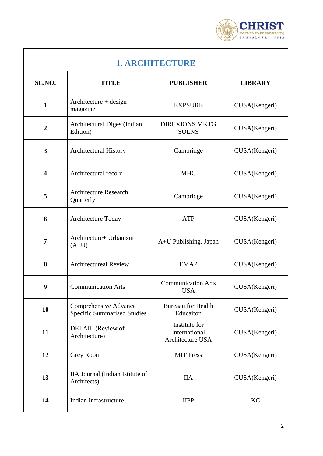

<span id="page-1-0"></span>

| 1. ARCHITECTURE         |                                                                    |                                                    |                |  |
|-------------------------|--------------------------------------------------------------------|----------------------------------------------------|----------------|--|
| SL.NO.                  | <b>TITLE</b>                                                       | <b>PUBLISHER</b>                                   | <b>LIBRARY</b> |  |
| $\mathbf{1}$            | $Architecture + design$<br>magazine                                | <b>EXPSURE</b>                                     | CUSA(Kengeri)  |  |
| $\overline{2}$          | Architectural Digest(Indian<br>Edition)                            | <b>DIREXIONS MKTG</b><br><b>SOLNS</b>              | CUSA(Kengeri)  |  |
| $\overline{\mathbf{3}}$ | <b>Architectural History</b>                                       | Cambridge                                          | CUSA(Kengeri)  |  |
| $\overline{\mathbf{4}}$ | Architectural record                                               | <b>MHC</b>                                         | CUSA(Kengeri)  |  |
| 5                       | <b>Architecture Research</b><br>Quarterly                          | Cambridge                                          | CUSA(Kengeri)  |  |
| 6                       | Architecture Today                                                 | <b>ATP</b>                                         | CUSA(Kengeri)  |  |
| $\overline{7}$          | Architecture+ Urbanism<br>$(A+U)$                                  | A+U Publishing, Japan                              | CUSA(Kengeri)  |  |
| 8                       | <b>Architectureal Review</b>                                       | <b>EMAP</b>                                        | CUSA(Kengeri)  |  |
| 9                       | <b>Communication Arts</b>                                          | <b>Communication Arts</b><br><b>USA</b>            | CUSA(Kengeri)  |  |
| 10                      | <b>Comprehensive Advance</b><br><b>Specific Summarised Studies</b> | <b>Bureaau for Health</b><br>Educaiton             | CUSA(Kengeri)  |  |
| 11                      | DETAIL (Review of<br>Architecture)                                 | Institute for<br>International<br>Architecture USA | CUSA(Kengeri)  |  |
| 12                      | Grey Room                                                          | <b>MIT Press</b>                                   | CUSA(Kengeri)  |  |
| 13                      | IIA Journal (Indian Istitute of<br>Architects)                     | <b>IIA</b>                                         | CUSA(Kengeri)  |  |
|                         |                                                                    |                                                    |                |  |

**14** Indian Infrastructure IIPP KC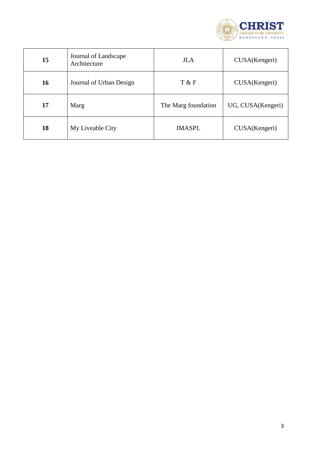

| 15 | Journal of Landscape<br>Architecture | <b>JLA</b>          | CUSA(Kengeri)     |
|----|--------------------------------------|---------------------|-------------------|
| 16 | Journal of Urban Design              | T & F               | CUSA(Kengeri)     |
| 17 | Marg                                 | The Marg foundation | UG, CUSA(Kengeri) |
| 18 | My Liveable City                     | <b>IMASPL</b>       | CUSA(Kengeri)     |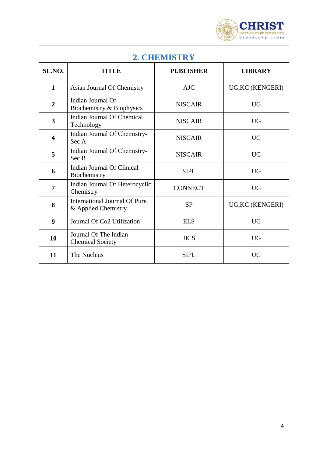

<span id="page-3-0"></span>

| 2. CHEMISTRY            |                                                             |                  |                  |  |
|-------------------------|-------------------------------------------------------------|------------------|------------------|--|
| SL.NO.                  | <b>TITLE</b>                                                | <b>PUBLISHER</b> | <b>LIBRARY</b>   |  |
| $\mathbf{1}$            | Asian Journal Of Chemistry                                  | <b>AJC</b>       | UG, KC (KENGERI) |  |
| $\overline{2}$          | Indian Journal Of<br>Biochemistry & Biophysics              | <b>NISCAIR</b>   | <b>UG</b>        |  |
| 3                       | Indian Journal Of Chemical<br>Technology                    | <b>NISCAIR</b>   | <b>UG</b>        |  |
| $\overline{\mathbf{4}}$ | Indian Journal Of Chemistry-<br>Sec A                       | <b>NISCAIR</b>   | <b>UG</b>        |  |
| 5                       | Indian Journal Of Chemistry-<br>Sec B                       | <b>NISCAIR</b>   | <b>UG</b>        |  |
| 6                       | Indian Journal Of Clinical<br>Biochemistry                  | <b>SIPL</b>      | <b>UG</b>        |  |
| 7                       | Indian Journal Of Heterocyclic<br>Chemistry                 | <b>CONNECT</b>   | <b>UG</b>        |  |
| 8                       | <b>International Journal Of Pure</b><br>& Applied Chemistry | <b>SP</b>        | UG, KC (KENGERI) |  |
| 9                       | Journal Of Co <sub>2</sub> Utilization                      | <b>ELS</b>       | <b>UG</b>        |  |
| 10                      | Journal Of The Indian<br><b>Chemical Society</b>            | <b>JICS</b>      | <b>UG</b>        |  |
| 11                      | The Nucleus                                                 | <b>SIPL</b>      | <b>UG</b>        |  |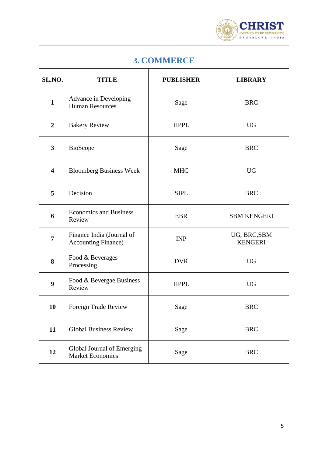

<span id="page-4-0"></span>

| 3. COMMERCE             |                                                         |                  |                                |  |
|-------------------------|---------------------------------------------------------|------------------|--------------------------------|--|
| SL.NO.                  | <b>TITLE</b>                                            | <b>PUBLISHER</b> | <b>LIBRARY</b>                 |  |
| $\mathbf{1}$            | Advance in Developing<br><b>Human Resources</b>         | Sage             | <b>BRC</b>                     |  |
| $\overline{2}$          | <b>Bakery Review</b>                                    | <b>HPPL</b>      | <b>UG</b>                      |  |
| 3                       | BioScope                                                | Sage             | <b>BRC</b>                     |  |
| $\overline{\mathbf{4}}$ | <b>Bloomberg Business Week</b>                          | <b>MHC</b>       | <b>UG</b>                      |  |
| 5                       | Decision                                                | <b>SIPL</b>      | <b>BRC</b>                     |  |
| 6                       | <b>Economics and Business</b><br>Review                 | <b>EBR</b>       | <b>SBM KENGERI</b>             |  |
| $\overline{7}$          | Finance India (Journal of<br><b>Accounting Finance)</b> | <b>INP</b>       | UG, BRC, SBM<br><b>KENGERI</b> |  |
| 8                       | Food & Beverages<br>Processing                          | <b>DVR</b>       | <b>UG</b>                      |  |
| $\boldsymbol{9}$        | Food & Bevergae Business<br>Review                      | <b>HPPL</b>      | <b>UG</b>                      |  |
| <b>10</b>               | Foreign Trade Review                                    | Sage             | <b>BRC</b>                     |  |
| 11                      | <b>Global Business Review</b>                           | Sage             | <b>BRC</b>                     |  |
| 12                      | Global Journal of Emerging<br><b>Market Economics</b>   | Sage             | <b>BRC</b>                     |  |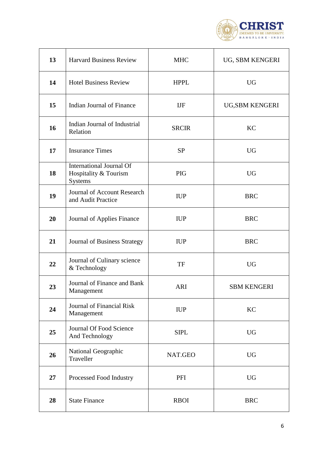

| 13 | <b>Harvard Business Review</b>                                      | <b>MHC</b>   | UG, SBM KENGERI    |
|----|---------------------------------------------------------------------|--------------|--------------------|
| 14 | <b>Hotel Business Review</b>                                        | <b>HPPL</b>  | <b>UG</b>          |
| 15 | Indian Journal of Finance                                           | <b>IJF</b>   | UG, SBM KENGERI    |
| 16 | Indian Journal of Industrial<br>Relation                            | <b>SRCIR</b> | KC                 |
| 17 | <b>Insurance Times</b>                                              | <b>SP</b>    | <b>UG</b>          |
| 18 | <b>International Journal Of</b><br>Hospitality & Tourism<br>Systems | <b>PIG</b>   | <b>UG</b>          |
| 19 | Journal of Account Research<br>and Audit Practice                   | <b>IUP</b>   | <b>BRC</b>         |
| 20 | Journal of Applies Finance                                          | <b>IUP</b>   | <b>BRC</b>         |
| 21 | <b>Journal of Business Strategy</b>                                 | <b>IUP</b>   | <b>BRC</b>         |
| 22 | Journal of Culinary science<br>& Technology                         | TF           | <b>UG</b>          |
| 23 | Journal of Finance and Bank<br>Management                           | <b>ARI</b>   | <b>SBM KENGERI</b> |
| 24 | Journal of Financial Risk<br>Management                             | <b>IUP</b>   | KC                 |
| 25 | Journal Of Food Science<br>And Technology                           | <b>SIPL</b>  | <b>UG</b>          |
| 26 | National Geographic<br>Traveller                                    | NAT.GEO      | <b>UG</b>          |
| 27 | Processed Food Industry                                             | PFI          | <b>UG</b>          |
| 28 | <b>State Finance</b>                                                | <b>RBOI</b>  | <b>BRC</b>         |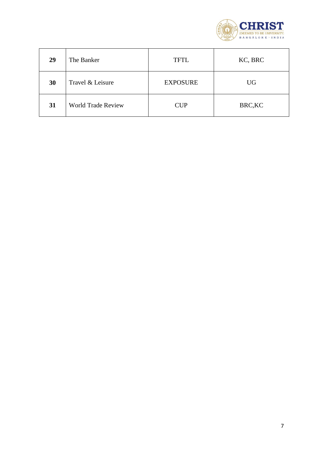

| 29 | The Banker                | <b>TFTL</b>     | KC, BRC   |
|----|---------------------------|-----------------|-----------|
| 30 | Travel & Leisure          | <b>EXPOSURE</b> | <b>UG</b> |
| 31 | <b>World Trade Review</b> | <b>CUP</b>      | BRC, KC   |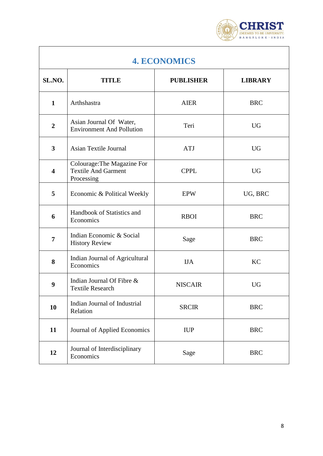

<span id="page-7-0"></span>

| <b>4. ECONOMICS</b>     |                                                                         |                  |                |  |
|-------------------------|-------------------------------------------------------------------------|------------------|----------------|--|
| SL.NO.                  | <b>TITLE</b>                                                            | <b>PUBLISHER</b> | <b>LIBRARY</b> |  |
| $\mathbf{1}$            | Arthshastra                                                             | <b>AIER</b>      | <b>BRC</b>     |  |
| $\boldsymbol{2}$        | Asian Journal Of Water,<br><b>Environment And Pollution</b>             | Teri             | <b>UG</b>      |  |
| $\mathbf{3}$            | Asian Textile Journal                                                   | <b>ATJ</b>       | <b>UG</b>      |  |
| $\overline{\mathbf{4}}$ | Colourage: The Magazine For<br><b>Textile And Garment</b><br>Processing | <b>CPPL</b>      | <b>UG</b>      |  |
| 5                       | Economic & Political Weekly                                             | <b>EPW</b>       | UG, BRC        |  |
| 6                       | Handbook of Statistics and<br>Economics                                 | <b>RBOI</b>      | <b>BRC</b>     |  |
| 7                       | Indian Economic & Social<br><b>History Review</b>                       | Sage             | <b>BRC</b>     |  |
| 8                       | Indian Journal of Agricultural<br>Economics                             | <b>IJA</b>       | KC             |  |
| 9                       | Indian Journal Of Fibre &<br><b>Textile Research</b>                    | <b>NISCAIR</b>   | <b>UG</b>      |  |
| 10                      | Indian Journal of Industrial<br>Relation                                | <b>SRCIR</b>     | <b>BRC</b>     |  |
| 11                      | Journal of Applied Economics                                            | <b>IUP</b>       | <b>BRC</b>     |  |
| 12                      | Journal of Interdisciplinary<br>Economics                               | Sage             | <b>BRC</b>     |  |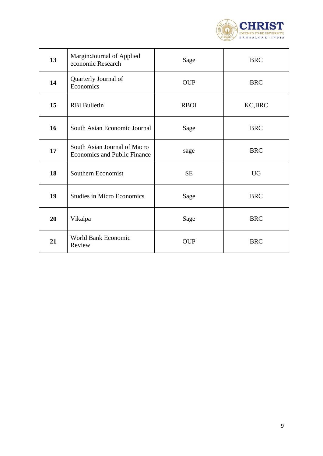

| 13 | Margin: Journal of Applied<br>economic Research                     | Sage        | <b>BRC</b> |
|----|---------------------------------------------------------------------|-------------|------------|
| 14 | Quarterly Journal of<br>Economics                                   | <b>OUP</b>  | <b>BRC</b> |
| 15 | <b>RBI</b> Bulletin                                                 | <b>RBOI</b> | KC, BRC    |
| 16 | South Asian Economic Journal                                        | Sage        | <b>BRC</b> |
| 17 | South Asian Journal of Macro<br><b>Economics and Public Finance</b> | sage        | <b>BRC</b> |
| 18 | Southern Economist                                                  | <b>SE</b>   | <b>UG</b>  |
| 19 | <b>Studies in Micro Economics</b>                                   | Sage        | <b>BRC</b> |
| 20 | Vikalpa                                                             | Sage        | <b>BRC</b> |
| 21 | World Bank Economic<br>Review                                       | <b>OUP</b>  | <b>BRC</b> |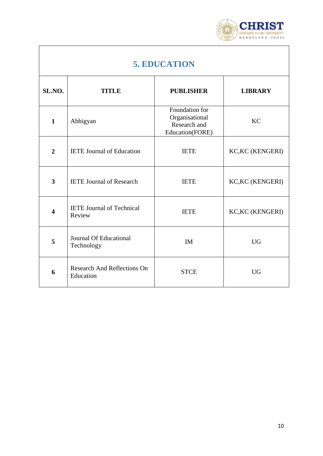

| <b>5. EDUCATION</b> |  |  |  |  |  |
|---------------------|--|--|--|--|--|
|---------------------|--|--|--|--|--|

<span id="page-9-0"></span>

| SL.NO.         | <b>TITLE</b>                                    | <b>PUBLISHER</b>                                                    | <b>LIBRARY</b>          |
|----------------|-------------------------------------------------|---------------------------------------------------------------------|-------------------------|
| $\mathbf{1}$   | Abhigyan                                        | Foundation for<br>Organisational<br>Research and<br>Education(FORE) | <b>KC</b>               |
| $\overline{2}$ | <b>IETE</b> Journal of Education                | <b>IETE</b>                                                         | <b>KC, KC (KENGERI)</b> |
| 3              | <b>IETE Journal of Research</b>                 | <b>IETE</b>                                                         | <b>KC,KC (KENGERI)</b>  |
| 4              | <b>IETE</b> Journal of Technical<br>Review      | <b>IETE</b>                                                         | <b>KC,KC (KENGERI)</b>  |
| 5              | Journal Of Educational<br>Technology            | <b>IM</b>                                                           | <b>UG</b>               |
| 6              | <b>Research And Reflections On</b><br>Education | <b>STCE</b>                                                         | <b>UG</b>               |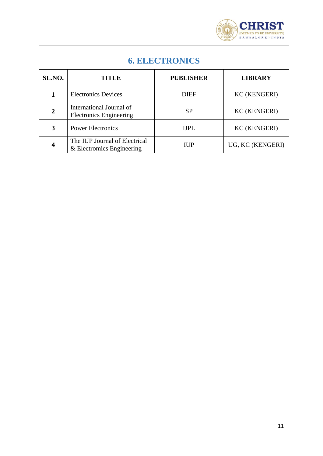

<span id="page-10-0"></span>

| <b>6. ELECTRONICS</b> |                                                            |                  |                     |  |
|-----------------------|------------------------------------------------------------|------------------|---------------------|--|
| SL.NO.                | TITLE                                                      | <b>PUBLISHER</b> | <b>LIBRARY</b>      |  |
|                       | <b>Electronics Devices</b>                                 | <b>DIEF</b>      | <b>KC (KENGERI)</b> |  |
| $\overline{2}$        | International Journal of<br><b>Electronics Engineering</b> | <b>SP</b>        | <b>KC (KENGERI)</b> |  |
| 3                     | <b>Power Electronics</b>                                   | <b>IJPL</b>      | <b>KC (KENGERI)</b> |  |
| 4                     | The IUP Journal of Electrical<br>& Electromics Engineering | <b>IUP</b>       | UG, KC (KENGERI)    |  |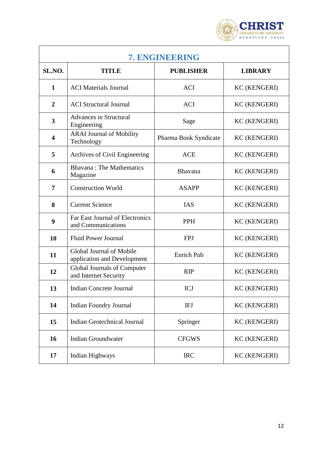

<span id="page-11-0"></span>

| 7. ENGINEERING          |                                                         |                       |                     |
|-------------------------|---------------------------------------------------------|-----------------------|---------------------|
| SL.NO.                  | <b>TITLE</b>                                            | <b>PUBLISHER</b>      | <b>LIBRARY</b>      |
| $\mathbf{1}$            | <b>ACI</b> Materials Journal                            | <b>ACI</b>            | <b>KC (KENGERI)</b> |
| $\overline{2}$          | <b>ACI</b> Structural Journal                           | <b>ACI</b>            | <b>KC (KENGERI)</b> |
| 3                       | <b>Advances in Structural</b><br>Engineering            | Sage                  | <b>KC (KENGERI)</b> |
| $\overline{\mathbf{4}}$ | <b>ARAI Journal of Mobility</b><br>Technology           | Pharma Book Syndicate | <b>KC (KENGERI)</b> |
| 5                       | Archives of Civil Engineering                           | <b>ACE</b>            | <b>KC (KENGERI)</b> |
| 6                       | <b>Bhavana: The Mathematics</b><br>Magazine             | Bhavana               | <b>KC (KENGERI)</b> |
| 7                       | <b>Construction World</b>                               | <b>ASAPP</b>          | <b>KC (KENGERI)</b> |
| 8                       | <b>Current Science</b>                                  | <b>IAS</b>            | <b>KC (KENGERI)</b> |
| 9                       | Far East Journal of Electronics<br>and Communications   | <b>PPH</b>            | <b>KC (KENGERI)</b> |
| 10                      | <b>Fluid Power Journal</b>                              | <b>FPJ</b>            | <b>KC (KENGERI)</b> |
| 11                      | Global Journal of Mobile<br>application and Development | Enrich Pub            | <b>KC (KENGERI)</b> |
| 12                      | Global Journals of Computer<br>and Internet Security    | <b>RIP</b>            | <b>KC (KENGERI)</b> |
| 13                      | <b>Indian Concrete Journal</b>                          | ICJ                   | <b>KC (KENGERI)</b> |
| 14                      | <b>Indian Foundry Journal</b>                           | IFJ                   | <b>KC (KENGERI)</b> |
| 15                      | <b>Indian Geotechnical Journal</b>                      | Springer              | <b>KC (KENGERI)</b> |
| 16                      | <b>Indian Groundwater</b>                               | <b>CFGWS</b>          | <b>KC (KENGERI)</b> |
| 17                      | Indian Highways                                         | <b>IRC</b>            | <b>KC (KENGERI)</b> |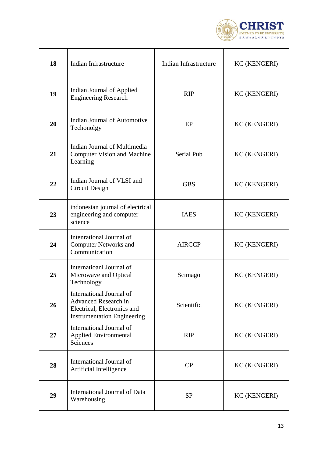

| 18 | Indian Infrastructure                                                                                                 | Indian Infrastructure | <b>KC (KENGERI)</b> |
|----|-----------------------------------------------------------------------------------------------------------------------|-----------------------|---------------------|
| 19 | Indian Journal of Applied<br><b>Engineering Research</b>                                                              | RIP                   | <b>KC (KENGERI)</b> |
| 20 | Indian Journal of Automotive<br>Techonolgy                                                                            | EP                    | <b>KC (KENGERI)</b> |
| 21 | Indian Journal of Multimedia<br><b>Computer Vision and Machine</b><br>Learning                                        | Serial Pub            | <b>KC (KENGERI)</b> |
| 22 | Indian Journal of VLSI and<br>Circuit Design                                                                          | <b>GBS</b>            | <b>KC (KENGERI)</b> |
| 23 | indonesian journal of electrical<br>engineering and computer<br>science                                               | <b>IAES</b>           | <b>KC (KENGERI)</b> |
| 24 | Intenrational Journal of<br><b>Computer Networks and</b><br>Communication                                             | <b>AIRCCP</b>         | <b>KC (KENGERI)</b> |
| 25 | Internatioanl Journal of<br>Microwave and Optical<br>Technology                                                       | Scimago               | <b>KC (KENGERI)</b> |
| 26 | International Journal of<br>Advanced Research in<br>Electrical, Electronics and<br><b>Instrumentation Engineering</b> | Scientific            | <b>KC (KENGERI)</b> |
| 27 | International Journal of<br><b>Applied Environmental</b><br>Sciences                                                  | <b>RIP</b>            | <b>KC (KENGERI)</b> |
| 28 | International Journal of<br>Artificial Intelligence                                                                   | CP                    | <b>KC (KENGERI)</b> |
| 29 | International Journal of Data<br>Warehousing                                                                          | <b>SP</b>             | <b>KC (KENGERI)</b> |

'n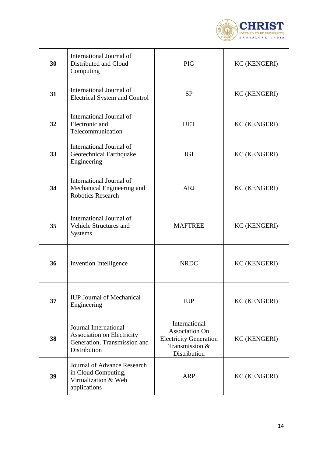

| 30 | International Journal of<br>Distributed and Cloud<br>Computing                                             | <b>PIG</b>                                                                                                | <b>KC (KENGERI)</b> |
|----|------------------------------------------------------------------------------------------------------------|-----------------------------------------------------------------------------------------------------------|---------------------|
| 31 | International Journal of<br><b>Electrical System and Control</b>                                           | <b>SP</b>                                                                                                 | <b>KC (KENGERI)</b> |
| 32 | International Journal of<br>Electronic and<br>Telecommunication                                            | <b>IJET</b>                                                                                               | <b>KC (KENGERI)</b> |
| 33 | International Journal of<br>Geotechnical Earthquake<br>Engineering                                         | <b>IGI</b>                                                                                                | <b>KC (KENGERI)</b> |
| 34 | International Journal of<br>Mechanical Engineering and<br><b>Robotics Research</b>                         | <b>ARJ</b>                                                                                                | <b>KC (KENGERI)</b> |
| 35 | International Journal of<br>Vehicle Structures and<br><b>Systems</b>                                       | <b>MAFTREE</b>                                                                                            | <b>KC (KENGERI)</b> |
| 36 | Invention Intelligence                                                                                     | <b>NRDC</b>                                                                                               | <b>KC (KENGERI)</b> |
| 37 | <b>IUP Journal of Mechanical</b><br>Engineering                                                            | <b>IUP</b>                                                                                                | <b>KC (KENGERI)</b> |
| 38 | Journal International<br><b>Association on Electricity</b><br>Generation, Transmission and<br>Distribution | International<br><b>Association On</b><br><b>Electricity Generation</b><br>Transmission &<br>Distribution | <b>KC (KENGERI)</b> |
| 39 | Journal of Advance Research<br>in Cloud Computing,<br>Virtualization & Web<br>applications                 | <b>ARP</b>                                                                                                | <b>KC (KENGERI)</b> |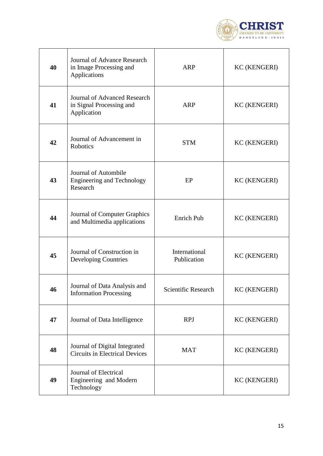

| 40 | Journal of Advance Research<br>in Image Processing and<br>Applications         | <b>ARP</b>                   | <b>KC (KENGERI)</b> |
|----|--------------------------------------------------------------------------------|------------------------------|---------------------|
| 41 | <b>Journal of Advanced Research</b><br>in Signal Processing and<br>Application | <b>ARP</b>                   | <b>KC (KENGERI)</b> |
| 42 | Journal of Advancement in<br>Robotics                                          | <b>STM</b>                   | <b>KC (KENGERI)</b> |
| 43 | Journal of Autombile<br><b>Engineering and Technology</b><br>Research          | EP                           | <b>KC (KENGERI)</b> |
| 44 | Journal of Computer Graphics<br>and Multimedia applications                    | <b>Enrich Pub</b>            | <b>KC (KENGERI)</b> |
| 45 | Journal of Construction in<br><b>Developing Countries</b>                      | International<br>Publication | <b>KC (KENGERI)</b> |
| 46 | Journal of Data Analysis and<br><b>Information Processing</b>                  | Scientific Research          | <b>KC (KENGERI)</b> |
| 47 | Journal of Data Intelligence                                                   | <b>RPJ</b>                   | <b>KC (KENGERI)</b> |
| 48 | Journal of Digital Integrated<br><b>Circuits in Electrical Devices</b>         | <b>MAT</b>                   | <b>KC (KENGERI)</b> |
| 49 | Journal of Electrical<br>Engineering and Modern<br>Technology                  |                              | <b>KC (KENGERI)</b> |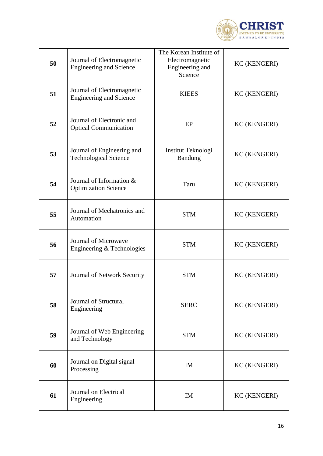

| 50 | Journal of Electromagnetic<br><b>Engineering and Science</b> | The Korean Institute of<br>Electromagnetic<br>Engineering and<br>Science | <b>KC (KENGERI)</b> |
|----|--------------------------------------------------------------|--------------------------------------------------------------------------|---------------------|
| 51 | Journal of Electromagnetic<br><b>Engineering and Science</b> | <b>KIEES</b>                                                             | <b>KC (KENGERI)</b> |
| 52 | Journal of Electronic and<br><b>Optical Communication</b>    | EP                                                                       | <b>KC (KENGERI)</b> |
| 53 | Journal of Engineering and<br><b>Technological Science</b>   | Institut Teknologi<br>Bandung                                            | <b>KC (KENGERI)</b> |
| 54 | Journal of Information &<br><b>Optimization Science</b>      | Taru                                                                     | <b>KC (KENGERI)</b> |
| 55 | Journal of Mechatronics and<br>Automation                    | <b>STM</b>                                                               | <b>KC (KENGERI)</b> |
| 56 | Journal of Microwave<br>Engineering & Technologies           | <b>STM</b>                                                               | <b>KC (KENGERI)</b> |
| 57 | Journal of Network Security                                  | <b>STM</b>                                                               | <b>KC (KENGERI)</b> |
| 58 | Journal of Structural<br>Engineering                         | <b>SERC</b>                                                              | <b>KC (KENGERI)</b> |
| 59 | Journal of Web Engineering<br>and Technology                 | <b>STM</b>                                                               | <b>KC (KENGERI)</b> |
| 60 | Journal on Digital signal<br>Processing                      | IM                                                                       | <b>KC (KENGERI)</b> |
| 61 | Journal on Electrical<br>Engineering                         | IM                                                                       | <b>KC (KENGERI)</b> |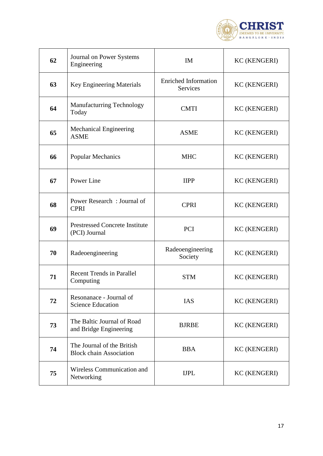

| 62 | Journal on Power Systems<br>Engineering                      | <b>IM</b>                                      | <b>KC (KENGERI)</b> |
|----|--------------------------------------------------------------|------------------------------------------------|---------------------|
| 63 | <b>Key Engineering Materials</b>                             | <b>Enriched Information</b><br><b>Services</b> | <b>KC (KENGERI)</b> |
| 64 | <b>Manufacturring Technology</b><br>Today                    | <b>CMTI</b>                                    | <b>KC (KENGERI)</b> |
| 65 | <b>Mechanical Engineering</b><br><b>ASME</b>                 | <b>ASME</b>                                    | <b>KC (KENGERI)</b> |
| 66 | <b>Popular Mechanics</b>                                     | <b>MHC</b>                                     | <b>KC (KENGERI)</b> |
| 67 | Power Line                                                   | <b>IIPP</b>                                    | <b>KC (KENGERI)</b> |
| 68 | Power Research: Journal of<br><b>CPRI</b>                    | <b>CPRI</b>                                    | <b>KC (KENGERI)</b> |
| 69 | <b>Prestressed Concrete Institute</b><br>(PCI) Journal       | <b>PCI</b>                                     | <b>KC (KENGERI)</b> |
| 70 | Radeoengineering                                             | Radeoengineering<br>Society                    | <b>KC (KENGERI)</b> |
| 71 | <b>Recent Trends in Parallel</b><br>Computing                | <b>STM</b>                                     | <b>KC (KENGERI)</b> |
| 72 | Resonanace - Journal of<br><b>Science Education</b>          | <b>IAS</b>                                     | <b>KC (KENGERI)</b> |
| 73 | The Baltic Journal of Road<br>and Bridge Engineering         | <b>BJRBE</b>                                   | <b>KC (KENGERI)</b> |
| 74 | The Journal of the British<br><b>Block chain Association</b> | <b>BBA</b>                                     | <b>KC (KENGERI)</b> |
| 75 | Wireless Communication and<br>Networking                     | <b>IJPL</b>                                    | <b>KC (KENGERI)</b> |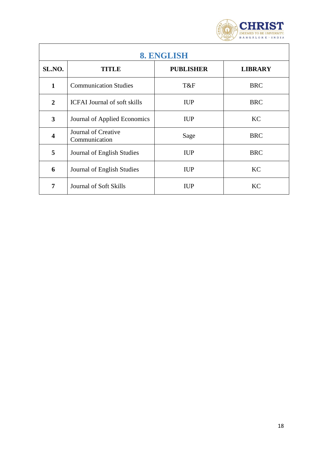

<span id="page-17-0"></span>

| <b>8. ENGLISH</b>       |                                      |                  |                |
|-------------------------|--------------------------------------|------------------|----------------|
| SL.NO.                  | TITLE                                | <b>PUBLISHER</b> | <b>LIBRARY</b> |
| $\mathbf{1}$            | <b>Communication Studies</b>         | T&F              | <b>BRC</b>     |
| $\overline{2}$          | <b>ICFAI Journal of soft skills</b>  | <b>IUP</b>       | <b>BRC</b>     |
| $\mathbf{3}$            | Journal of Applied Economics         | <b>IUP</b>       | KC             |
| $\overline{\mathbf{4}}$ | Journal of Creative<br>Communication | Sage             | <b>BRC</b>     |
| 5                       | Journal of English Studies           | <b>IUP</b>       | <b>BRC</b>     |
| 6                       | Journal of English Studies           | <b>IUP</b>       | KC             |
| 7                       | Journal of Soft Skills               | <b>IUP</b>       | <b>KC</b>      |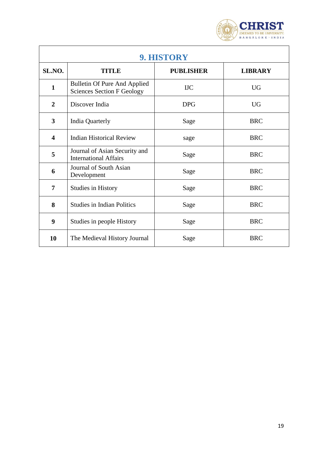

<span id="page-18-0"></span>

| 9. HISTORY              |                                                                          |                  |                |  |
|-------------------------|--------------------------------------------------------------------------|------------------|----------------|--|
| SL.NO.                  | <b>TITLE</b>                                                             | <b>PUBLISHER</b> | <b>LIBRARY</b> |  |
| $\mathbf{1}$            | <b>Bulletin Of Pure And Applied</b><br><b>Sciences Section F Geology</b> | <b>IJC</b>       | <b>UG</b>      |  |
| $\overline{2}$          | Discover India                                                           | <b>DPG</b>       | <b>UG</b>      |  |
| 3                       | <b>India Quarterly</b>                                                   | Sage             | <b>BRC</b>     |  |
| $\overline{\mathbf{4}}$ | <b>Indian Historical Review</b>                                          | sage             | <b>BRC</b>     |  |
| 5                       | Journal of Asian Security and<br><b>International Affairs</b>            | Sage             | <b>BRC</b>     |  |
| 6                       | Journal of South Asian<br>Development                                    | Sage             | <b>BRC</b>     |  |
| 7                       | <b>Studies in History</b>                                                | Sage             | <b>BRC</b>     |  |
| 8                       | <b>Studies in Indian Politics</b>                                        | Sage             | <b>BRC</b>     |  |
| 9                       | Studies in people History                                                | Sage             | <b>BRC</b>     |  |
| 10                      | The Medieval History Journal                                             | Sage             | <b>BRC</b>     |  |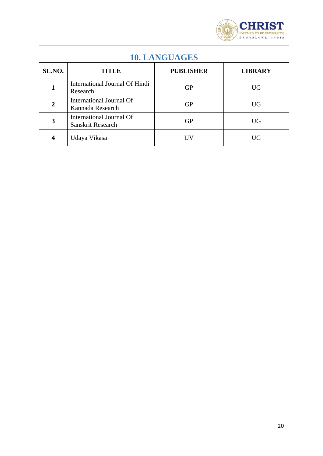

<span id="page-19-0"></span>

| <b>10. LANGUAGES</b> |                                               |                  |                |  |
|----------------------|-----------------------------------------------|------------------|----------------|--|
| SL.NO.               | <b>TITLE</b>                                  | <b>PUBLISHER</b> | <b>LIBRARY</b> |  |
| 1                    | International Journal Of Hindi<br>Research    | <b>GP</b>        | <b>UG</b>      |  |
| $\overline{2}$       | International Journal Of<br>Kannada Research  | <b>GP</b>        | <b>UG</b>      |  |
| 3                    | International Journal Of<br>Sanskrit Research | GP               | UG             |  |
| 4                    | Udaya Vikasa                                  |                  | UG             |  |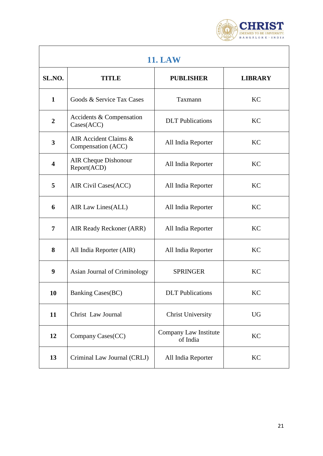

<span id="page-20-0"></span>

| <b>11. LAW</b>          |                                             |                                   |                |
|-------------------------|---------------------------------------------|-----------------------------------|----------------|
| SL.NO.                  | <b>TITLE</b>                                | <b>PUBLISHER</b>                  | <b>LIBRARY</b> |
| $\mathbf{1}$            | Goods & Service Tax Cases                   | Taxmann                           | KC             |
| $\boldsymbol{2}$        | Accidents & Compensation<br>Cases(ACC)      | <b>DLT</b> Publications           | KC             |
| $\overline{\mathbf{3}}$ | AIR Accident Claims &<br>Compensation (ACC) | All India Reporter                | KC             |
| 4                       | <b>AIR Cheque Dishonour</b><br>Report(ACD)  | All India Reporter                | <b>KC</b>      |
| 5                       | AIR Civil Cases(ACC)                        | All India Reporter                | KC             |
| 6                       | AIR Law Lines(ALL)                          | All India Reporter                | KC             |
| 7                       | AIR Ready Reckoner (ARR)                    | All India Reporter                | <b>KC</b>      |
| 8                       | All India Reporter (AIR)                    | All India Reporter                | <b>KC</b>      |
| 9                       | Asian Journal of Criminology                | <b>SPRINGER</b>                   | KC             |
| 10                      | <b>Banking Cases(BC)</b>                    | <b>DLT</b> Publications           | KC             |
| 11                      | Christ Law Journal                          | <b>Christ University</b>          | <b>UG</b>      |
| 12                      | Company Cases(CC)                           | Company Law Institute<br>of India | KC             |
| 13                      | Criminal Law Journal (CRLJ)                 | All India Reporter                | KC             |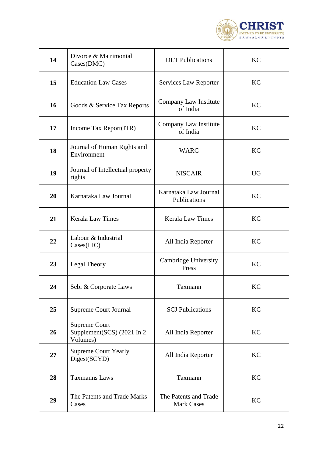

| 14 | Divorce & Matrimonial<br>Cases(DMC)                            | <b>DLT</b> Publications                    | <b>KC</b> |
|----|----------------------------------------------------------------|--------------------------------------------|-----------|
| 15 | <b>Education Law Cases</b>                                     | Services Law Reporter                      | <b>KC</b> |
| 16 | Goods & Service Tax Reports                                    | Company Law Institute<br>of India          | <b>KC</b> |
| 17 | Income Tax Report(ITR)                                         | Company Law Institute<br>of India          | <b>KC</b> |
| 18 | Journal of Human Rights and<br>Environment                     | <b>WARC</b>                                | KC        |
| 19 | Journal of Intellectual property<br>rights                     | <b>NISCAIR</b>                             | <b>UG</b> |
| 20 | Karnataka Law Journal                                          | Karnataka Law Journal<br>Publications      | <b>KC</b> |
| 21 | <b>Kerala Law Times</b>                                        | <b>Kerala Law Times</b>                    | <b>KC</b> |
| 22 | Labour & Industrial<br>$\text{Cases}(\text{LIC})$              | All India Reporter                         | KC        |
| 23 | Legal Theory                                                   | Cambridge University<br>Press              | KC        |
| 24 | Sebi & Corporate Laws                                          | Taxmann                                    | KC        |
| 25 | <b>Supreme Court Journal</b>                                   | <b>SCJ</b> Publications                    | <b>KC</b> |
| 26 | <b>Supreme Court</b><br>Supplement(SCS) (2021 In 2<br>Volumes) | All India Reporter                         | <b>KC</b> |
| 27 | <b>Supreme Court Yearly</b><br>Digest(SCYD)                    | All India Reporter                         | KC        |
| 28 | <b>Taxmanns Laws</b>                                           | Taxmann                                    | <b>KC</b> |
| 29 | The Patents and Trade Marks<br>Cases                           | The Patents and Trade<br><b>Mark Cases</b> | <b>KC</b> |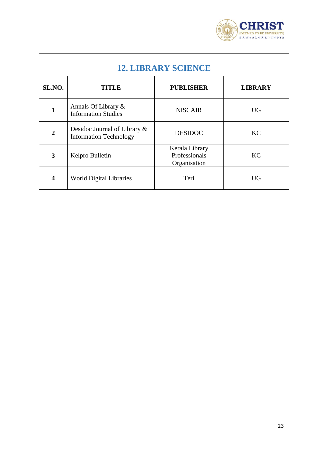

<span id="page-22-0"></span>

| <b>12. LIBRARY SCIENCE</b> |                                                               |                                                 |                |
|----------------------------|---------------------------------------------------------------|-------------------------------------------------|----------------|
| SL.NO.                     | <b>TITLE</b>                                                  | <b>PUBLISHER</b>                                | <b>LIBRARY</b> |
| 1                          | Annals Of Library &<br><b>Information Studies</b>             | <b>NISCAIR</b>                                  | <b>UG</b>      |
| $\overline{2}$             | Desidoc Journal of Library &<br><b>Information Technology</b> | <b>DESIDOC</b>                                  | <b>KC</b>      |
| 3                          | Kelpro Bulletin                                               | Kerala Library<br>Professionals<br>Organisation | KC             |
| $\overline{\mathbf{4}}$    | <b>World Digital Libraries</b>                                | Teri                                            | UG             |

ĭ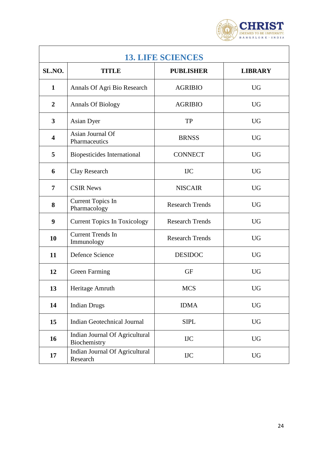

<span id="page-23-0"></span>

| <b>13. LIFE SCIENCES</b> |                                                |                        |                |
|--------------------------|------------------------------------------------|------------------------|----------------|
| SL.NO.                   | <b>TITLE</b>                                   | <b>PUBLISHER</b>       | <b>LIBRARY</b> |
| $\mathbf{1}$             | Annals Of Agri Bio Research                    | <b>AGRIBIO</b>         | <b>UG</b>      |
| $\boldsymbol{2}$         | <b>Annals Of Biology</b>                       | <b>AGRIBIO</b>         | <b>UG</b>      |
| 3                        | Asian Dyer                                     | <b>TP</b>              | <b>UG</b>      |
| $\overline{\mathbf{4}}$  | Asian Journal Of<br>Pharmaceutics              | <b>BRNSS</b>           | <b>UG</b>      |
| 5                        | Biopesticides International                    | <b>CONNECT</b>         | <b>UG</b>      |
| 6                        | Clay Research                                  | <b>IIC</b>             | <b>UG</b>      |
| $\overline{7}$           | <b>CSIR News</b>                               | <b>NISCAIR</b>         | <b>UG</b>      |
| 8                        | <b>Current Topics In</b><br>Pharmacology       | <b>Research Trends</b> | <b>UG</b>      |
| 9                        | <b>Current Topics In Toxicology</b>            | <b>Research Trends</b> | <b>UG</b>      |
| 10                       | <b>Current Trends In</b><br>Immunology         | <b>Research Trends</b> | <b>UG</b>      |
| 11                       | Defence Science                                | <b>DESIDOC</b>         | <b>UG</b>      |
| 12                       | <b>Green Farming</b>                           | <b>GF</b>              | <b>UG</b>      |
| 13                       | Heritage Amruth                                | <b>MCS</b>             | <b>UG</b>      |
| 14                       | <b>Indian Drugs</b>                            | <b>IDMA</b>            | <b>UG</b>      |
| 15                       | <b>Indian Geotechnical Journal</b>             | <b>SIPL</b>            | <b>UG</b>      |
| 16                       | Indian Journal Of Agricultural<br>Biochemistry | <b>IJC</b>             | <b>UG</b>      |
| 17                       | Indian Journal Of Agricultural<br>Research     | <b>IJC</b>             | <b>UG</b>      |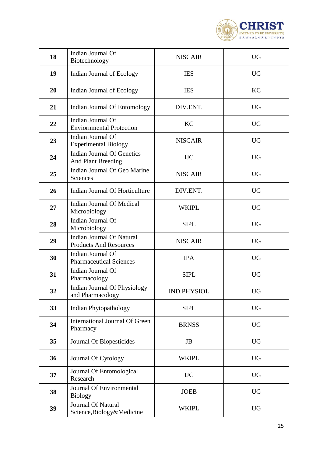

| 18 | Indian Journal Of<br>Biotechnology                                | <b>NISCAIR</b>     | <b>UG</b> |
|----|-------------------------------------------------------------------|--------------------|-----------|
| 19 | Indian Journal of Ecology                                         | <b>IES</b>         | <b>UG</b> |
| 20 | Indian Journal of Ecology                                         | <b>IES</b>         | KC        |
| 21 | Indian Journal Of Entomology                                      | DIV.ENT.           | <b>UG</b> |
| 22 | Indian Journal Of<br><b>Enviornmental Protection</b>              | <b>KC</b>          | <b>UG</b> |
| 23 | Indian Journal Of<br><b>Experimental Biology</b>                  | <b>NISCAIR</b>     | <b>UG</b> |
| 24 | <b>Indian Journal Of Genetics</b><br>And Plant Breeding           | <b>IJC</b>         | <b>UG</b> |
| 25 | Indian Journal Of Geo Marine<br>Sciences                          | <b>NISCAIR</b>     | <b>UG</b> |
| 26 | Indian Journal Of Horticulture                                    | DIV.ENT.           | <b>UG</b> |
| 27 | <b>Indian Journal Of Medical</b><br>Microbiology                  | WKIPL              | <b>UG</b> |
| 28 | Indian Journal Of<br>Microbiology                                 | <b>SIPL</b>        | <b>UG</b> |
| 29 | <b>Indian Journal Of Natural</b><br><b>Products And Resources</b> | <b>NISCAIR</b>     | <b>UG</b> |
| 30 | Indian Journal Of<br><b>Pharmaceutical Sciences</b>               | <b>IPA</b>         | <b>UG</b> |
| 31 | Indian Journal Of<br>Pharmacology                                 | <b>SIPL</b>        | <b>UG</b> |
| 32 | Indian Journal Of Physiology<br>and Pharmacology                  | <b>IND.PHYSIOL</b> | <b>UG</b> |
| 33 | <b>Indian Phytopathology</b>                                      | <b>SIPL</b>        | <b>UG</b> |
| 34 | <b>International Journal Of Green</b><br>Pharmacy                 | <b>BRNSS</b>       | <b>UG</b> |
| 35 | Journal Of Biopesticides                                          | <b>JB</b>          | <b>UG</b> |
| 36 | <b>Journal Of Cytology</b>                                        | <b>WKIPL</b>       | <b>UG</b> |
| 37 | Journal Of Entomological<br>Research                              | <b>IJC</b>         | <b>UG</b> |
| 38 | Journal Of Environmental<br><b>Biology</b>                        | <b>JOEB</b>        | <b>UG</b> |
| 39 | Journal Of Natural<br>Science, Biology&Medicine                   | <b>WKIPL</b>       | <b>UG</b> |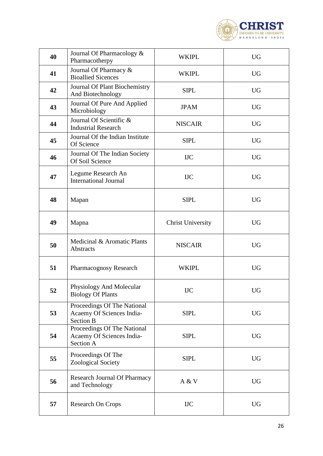

| 40 | Journal Of Pharmacology &<br>Pharmacotherpy                                  | <b>WKIPL</b>             | <b>UG</b> |
|----|------------------------------------------------------------------------------|--------------------------|-----------|
| 41 | Journal Of Pharmacy &<br><b>Bioallied Sicences</b>                           | WKIPL                    | <b>UG</b> |
| 42 | Journal Of Plant Biochemistry<br>And Biotechnology                           | <b>SIPL</b>              | <b>UG</b> |
| 43 | Journal Of Pure And Applied<br>Microbiology                                  | <b>JPAM</b>              | <b>UG</b> |
| 44 | Journal Of Scientific &<br><b>Industrial Research</b>                        | <b>NISCAIR</b>           | <b>UG</b> |
| 45 | Journal Of the Indian Institute<br>Of Science                                | <b>SIPL</b>              | <b>UG</b> |
| 46 | Journal Of The Indian Society<br>Of Soil Science                             | <b>IIC</b>               | <b>UG</b> |
| 47 | Legume Research An<br><b>International Journal</b>                           | <b>IIC</b>               | <b>UG</b> |
| 48 | Mapan                                                                        | <b>SIPL</b>              | <b>UG</b> |
| 49 | Mapna                                                                        | <b>Christ University</b> | <b>UG</b> |
| 50 | Medicinal & Aromatic Plants<br>Abstracts                                     | <b>NISCAIR</b>           | <b>UG</b> |
| 51 | Pharmacognosy Research                                                       | <b>WKIPL</b>             | <b>UG</b> |
| 52 | Physiology And Molecular<br><b>Biology Of Plants</b>                         | <b>IJC</b>               | <b>UG</b> |
| 53 | Proceedings Of The National<br>Acaemy Of Sciences India-<br><b>Section B</b> | <b>SIPL</b>              | <b>UG</b> |
| 54 | Proceedings Of The National<br>Acaemy Of Sciences India-<br>Section A        | <b>SIPL</b>              | <b>UG</b> |
| 55 | Proceedings Of The<br><b>Zoological Society</b>                              | <b>SIPL</b>              | <b>UG</b> |
| 56 | <b>Research Journal Of Pharmacy</b><br>and Technology                        | A & V                    | <b>UG</b> |
| 57 | <b>Research On Crops</b>                                                     | <b>IIC</b>               | <b>UG</b> |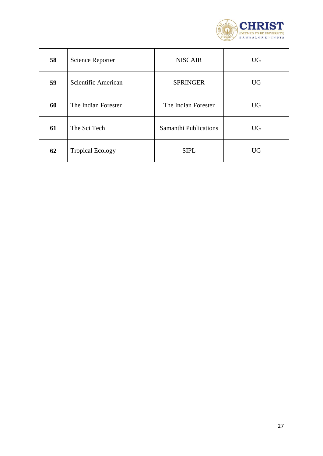

| 58 | <b>Science Reporter</b> | <b>NISCAIR</b>               | <b>UG</b> |
|----|-------------------------|------------------------------|-----------|
| 59 | Scientific American     | <b>SPRINGER</b>              | <b>UG</b> |
| 60 | The Indian Forester     | The Indian Forester          | <b>UG</b> |
| 61 | The Sci Tech            | <b>Samanthi Publications</b> | <b>UG</b> |
| 62 | <b>Tropical Ecology</b> | <b>SIPL</b>                  | <b>UG</b> |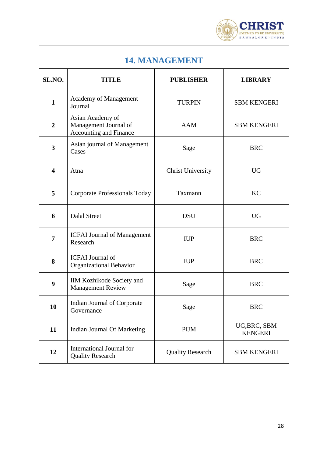

<span id="page-27-0"></span>

| 14. MANAGEMENT          |                                                                            |                          |                                |
|-------------------------|----------------------------------------------------------------------------|--------------------------|--------------------------------|
| SL.NO.                  | <b>TITLE</b>                                                               | <b>PUBLISHER</b>         | <b>LIBRARY</b>                 |
| $\mathbf{1}$            | Academy of Management<br>Journal                                           | <b>TURPIN</b>            | <b>SBM KENGERI</b>             |
| $\overline{2}$          | Asian Academy of<br>Management Journal of<br><b>Accounting and Finance</b> | <b>AAM</b>               | <b>SBM KENGERI</b>             |
| $\mathbf{3}$            | Asian journal of Management<br>Cases                                       | Sage                     | <b>BRC</b>                     |
| $\overline{\mathbf{4}}$ | Atna                                                                       | <b>Christ University</b> | <b>UG</b>                      |
| 5                       | <b>Corporate Professionals Today</b>                                       | Taxmann                  | <b>KC</b>                      |
| 6                       | <b>Dalal Street</b>                                                        | <b>DSU</b>               | <b>UG</b>                      |
| 7                       | <b>ICFAI Journal of Management</b><br>Research                             | <b>IUP</b>               | <b>BRC</b>                     |
| 8                       | <b>ICFAI</b> Journal of<br>Organizational Behavior                         | <b>IUP</b>               | <b>BRC</b>                     |
| 9                       | IIM Kozhikode Society and<br><b>Management Review</b>                      | Sage                     | <b>BRC</b>                     |
| 10                      | Indian Journal of Corporate<br>Governance                                  | Sage                     | <b>BRC</b>                     |
| 11                      | Indian Journal Of Marketing                                                | <b>PIJM</b>              | UG, BRC, SBM<br><b>KENGERI</b> |
| 12                      | International Journal for<br><b>Quality Research</b>                       | <b>Quality Research</b>  | <b>SBM KENGERI</b>             |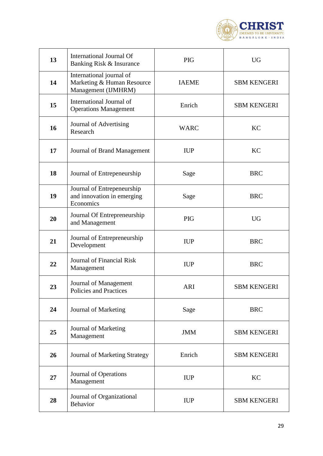

| 13 | International Journal Of<br>Banking Risk & Insurance                          | <b>PIG</b>   | <b>UG</b>          |
|----|-------------------------------------------------------------------------------|--------------|--------------------|
| 14 | International journal of<br>Marketing & Human Resource<br>Management (IJMHRM) | <b>IAEME</b> | <b>SBM KENGERI</b> |
| 15 | International Journal of<br><b>Operations Management</b>                      | Enrich       | <b>SBM KENGERI</b> |
| 16 | Journal of Advertising<br>Research                                            | <b>WARC</b>  | <b>KC</b>          |
| 17 | Journal of Brand Management                                                   | <b>IUP</b>   | KC                 |
| 18 | Journal of Entrepeneurship                                                    | Sage         | <b>BRC</b>         |
| 19 | Journal of Entrepeneurship<br>and innovation in emerging<br>Economics         | Sage         | <b>BRC</b>         |
| 20 | Journal Of Entrepreneurship<br>and Management                                 | <b>PIG</b>   | <b>UG</b>          |
| 21 | Journal of Entrepreneurship<br>Development                                    | <b>IUP</b>   | <b>BRC</b>         |
| 22 | Journal of Financial Risk<br>Management                                       | <b>IUP</b>   | <b>BRC</b>         |
| 23 | Journal of Management<br>Policies and Practices                               | <b>ARI</b>   | <b>SBM KENGERI</b> |
| 24 | Journal of Marketing                                                          | Sage         | <b>BRC</b>         |
| 25 | Journal of Marketing<br>Management                                            | <b>JMM</b>   | <b>SBM KENGERI</b> |
| 26 | <b>Journal of Marketing Strategy</b>                                          | Enrich       | <b>SBM KENGERI</b> |
| 27 | Journal of Operations<br>Management                                           | <b>IUP</b>   | KC                 |
| 28 | Journal of Organizational<br>Behavior                                         | <b>IUP</b>   | <b>SBM KENGERI</b> |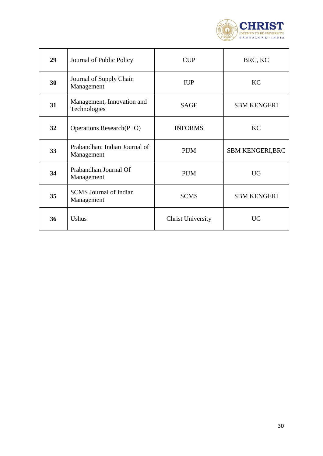

| 29 | Journal of Public Policy                    | <b>CUP</b>               | BRC, KC                 |
|----|---------------------------------------------|--------------------------|-------------------------|
| 30 | Journal of Supply Chain<br>Management       | <b>IUP</b>               | <b>KC</b>               |
| 31 | Management, Innovation and<br>Technologies  | <b>SAGE</b>              | <b>SBM KENGERI</b>      |
| 32 | Operations Research $(P+O)$                 | <b>INFORMS</b>           | <b>KC</b>               |
| 33 | Prabandhan: Indian Journal of<br>Management | <b>PIJM</b>              | <b>SBM KENGERI, BRC</b> |
| 34 | Prabandhan: Journal Of<br>Management        | <b>PIJM</b>              | <b>UG</b>               |
| 35 | <b>SCMS</b> Journal of Indian<br>Management | <b>SCMS</b>              | <b>SBM KENGERI</b>      |
| 36 | Ushus                                       | <b>Christ University</b> | UG                      |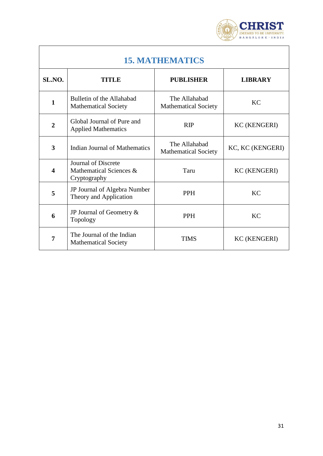

<span id="page-30-0"></span>

| <b>15. MATHEMATICS</b>  |                                                                |                                              |                     |
|-------------------------|----------------------------------------------------------------|----------------------------------------------|---------------------|
| SL.NO.                  | TITLE                                                          | <b>PUBLISHER</b>                             | <b>LIBRARY</b>      |
| $\mathbf{1}$            | Bulletin of the Allahabad<br><b>Mathematical Society</b>       | The Allahabad<br><b>Mathematical Society</b> | <b>KC</b>           |
| $\overline{2}$          | Global Journal of Pure and<br><b>Applied Mathematics</b>       | <b>RIP</b>                                   | <b>KC (KENGERI)</b> |
| $\overline{\mathbf{3}}$ | <b>Indian Journal of Mathematics</b>                           | The Allahabad<br><b>Mathematical Society</b> | KC, KC (KENGERI)    |
| $\overline{\mathbf{4}}$ | Journal of Discrete<br>Mathematical Sciences &<br>Cryptography | Taru                                         | <b>KC (KENGERI)</b> |
| 5                       | JP Journal of Algebra Number<br>Theory and Application         | <b>PPH</b>                                   | <b>KC</b>           |
| 6                       | JP Journal of Geometry $\&$<br>Topology                        | <b>PPH</b>                                   | <b>KC</b>           |
| $\overline{7}$          | The Journal of the Indian<br><b>Mathematical Society</b>       | <b>TIMS</b>                                  | <b>KC (KENGERI)</b> |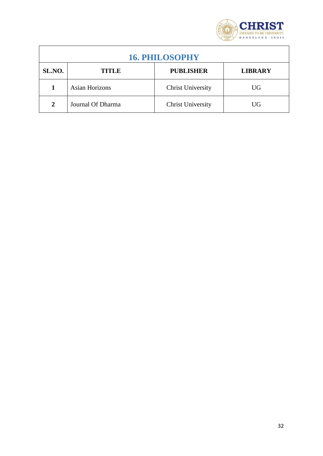

<span id="page-31-0"></span>

| <b>16. PHILOSOPHY</b> |                   |                          |                |
|-----------------------|-------------------|--------------------------|----------------|
| SL.NO.                | TITLE             | <b>PUBLISHER</b>         | <b>LIBRARY</b> |
|                       | Asian Horizons    | <b>Christ University</b> | UG             |
| $\mathbf{2}$          | Journal Of Dharma | <b>Christ University</b> | UG             |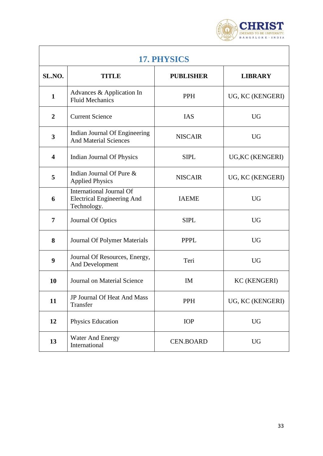

٦

<span id="page-32-0"></span>

| 17. PHYSICS             |                                                                                     |                  |                     |
|-------------------------|-------------------------------------------------------------------------------------|------------------|---------------------|
| SL.NO.                  | TITLE                                                                               | <b>PUBLISHER</b> | <b>LIBRARY</b>      |
| $\mathbf{1}$            | Advances & Application In<br><b>Fluid Mechanics</b>                                 | <b>PPH</b>       | UG, KC (KENGERI)    |
| $\overline{2}$          | <b>Current Science</b>                                                              | <b>IAS</b>       | <b>UG</b>           |
| 3                       | Indian Journal Of Engineering<br><b>And Material Sciences</b>                       | <b>NISCAIR</b>   | <b>UG</b>           |
| $\overline{\mathbf{4}}$ | Indian Journal Of Physics                                                           | <b>SIPL</b>      | UG, KC (KENGERI)    |
| 5                       | Indian Journal Of Pure &<br><b>Applied Physics</b>                                  | <b>NISCAIR</b>   | UG, KC (KENGERI)    |
| 6                       | <b>International Journal Of</b><br><b>Electrical Engineering And</b><br>Technology. | <b>IAEME</b>     | <b>UG</b>           |
| 7                       | Journal Of Optics                                                                   | <b>SIPL</b>      | <b>UG</b>           |
| 8                       | Journal Of Polymer Materials                                                        | <b>PPPL</b>      | <b>UG</b>           |
| 9                       | Journal Of Resources, Energy,<br>And Development                                    | Teri             | <b>UG</b>           |
| 10                      | Journal on Material Science                                                         | <b>IM</b>        | <b>KC (KENGERI)</b> |
| 11                      | JP Journal Of Heat And Mass<br>Transfer                                             | PPH              | UG, KC (KENGERI)    |
| 12                      | <b>Physics Education</b>                                                            | <b>IOP</b>       | <b>UG</b>           |
| 13                      | <b>Water And Energy</b><br>International                                            | <b>CEN.BOARD</b> | <b>UG</b>           |

Ĭ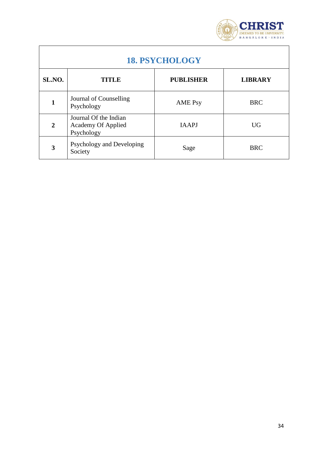

٦

<span id="page-33-0"></span>

| <b>18. PSYCHOLOGY</b> |                                                                  |                  |                |  |
|-----------------------|------------------------------------------------------------------|------------------|----------------|--|
| SL.NO.                | TITLE                                                            | <b>PUBLISHER</b> | <b>LIBRARY</b> |  |
| 1                     | Journal of Counselling<br>Psychology                             | <b>AME Psy</b>   | <b>BRC</b>     |  |
| $\overline{2}$        | Journal Of the Indian<br><b>Academy Of Applied</b><br>Psychology | <b>IAAPJ</b>     | <b>UG</b>      |  |
| 3                     | Psychology and Developing<br>Society                             | Sage             | <b>BRC</b>     |  |

**r**